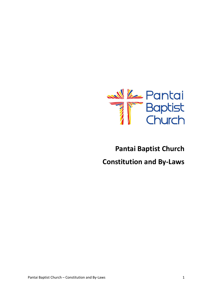

# **Pantai Baptist Church Constitution and By-Laws**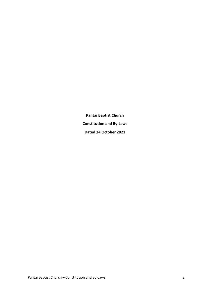**Pantai Baptist Church Constitution and By-Laws Dated 24 October 2021**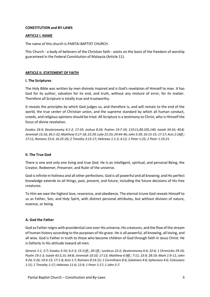# **CONSTITUTION and BY-LAWS**

# **ARTICLE I. NAME**

The name of this church is PANTAI BAPTIST CHURCH.

This Church - a body of believers of the Christian faith - exists on the basis of the freedom of worship guaranteed in the Federal Constitution of Malaysia (Article 11).

## **ARTICLE II. STATEMENT OF FAITH**

## **I. The Scriptures**

The Holy Bible was written by men divinely inspired and is God's revelation of Himself to man. It has God for its author, salvation for its end, and truth, without any mixture of error, for its matter. Therefore all Scripture is totally true and trustworthy.

It reveals the principles by which God judges us, and therefore is, and will remain to the end of the world, the true center of Christian union, and the supreme standard by which all human conduct, creeds, and religious opinions should be tried. All Scripture is a testimony to Christ, who is Himself the focus of divine revelation.

*Exodus 24:4; Deuteronomy 4:1-2; 17:19; Joshua 8:34; Psalms 19:7-10; 119:11,89,105,140; Isaiah 34:16; 40:8; Jeremiah 15:16; 36:1-32; Matthew 5:17-18; 22:29; Luke 21:33; 24:44-46; John 5:39; 16:13-15; 17:17; Acts 2:16ff.; 17:11; Romans 15:4; 16:25-26; 2 Timothy 3:15-17; Hebrews 1:1-2; 4:12; 1 Peter 1:25; 2 Peter 1:19-21.* 

## **II. The True God**

There is one and only one living and true God. He is an intelligent, spiritual, and personal Being, the Creator, Redeemer, Preserver, and Ruler of the universe.

God is infinite in holiness and all other perfections. God is all powerful and all knowing; and His perfect knowledge extends to all things, past, present, and future, including the future decisions of His free creatures.

To Him we owe the highest love, reverence, and obedience. The eternal triune God reveals Himself to us as Father, Son, and Holy Spirit, with distinct personal attributes, but without division of nature, essence, or being.

## **A. God the Father**

God as Father reigns with providential care over His universe, His creatures, and the flow of the stream of human history according to the purposes of His grace. He is all powerful, all knowing, all loving, and all wise. God is Father in truth to those who become children of God through faith in Jesus Christ. He is fatherly in His attitude toward all men.

*Genesis 1:1; 2:7; Exodus 3:14; 6:2-3; 15:11ff.; 20:1ff.; Leviticus 22:2; Deuteronomy 6:4; 32:6; 1 Chronicles 29:10; Psalm 19:1-3; Isaiah 43:3,15; 64:8; Jeremiah 10:10; 17:13; Matthew 6:9ff.; 7:11; 23:9; 28:19; Mark 1:9-11; John 4:24; 5:26; 14:6-13; 17:1-8; Acts 1:7; Romans 8:14-15; 1 Corinthians 8:6; Galatians 4:6; Ephesians 4:6; Colossians 1:15; 1 Timothy 1:17; Hebrews 11:6; 12:9; 1 Peter 1:17; 1 John 5:7.*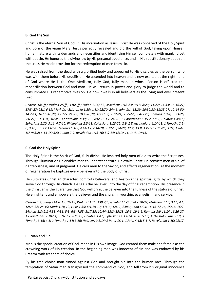# **B. God the Son**

Christ is the eternal Son of God. In His incarnation as Jesus Christ He was conceived of the Holy Spirit and born of the virgin Mary. Jesus perfectly revealed and did the will of God, taking upon Himself human nature with its demands and necessities and identifying Himself completely with mankind yet without sin. He honored the divine law by His personal obedience, and in His substitutionary death on the cross He made provision for the redemption of men from sin.

He was raised from the dead with a glorified body and appeared to His disciples as the person who was with them before His crucifixion. He ascended into heaven and is now exalted at the right hand of God where He is the One Mediator, fully God, fully man, in whose Person is effected the reconciliation between God and man. He will return in power and glory to judge the world and to consummate His redemptive mission. He now dwells in all believers as the living and ever present Lord.

*Genesis 18:1ff.; Psalms 2:7ff.; 110:1ff.; Isaiah 7:14; 53; Matthew 1:18-23; 3:17; 8:29; 11:27; 14:33; 16:16,27; 17:5; 27; 28:1-6,19; Mark 1:1; 3:11; Luke 1:35; 4:41; 22:70; 24:46; John 1:1- 18,29; 10:30,38; 11:25-27; 12:44-50; 14:7-11; 16:15-16,28; 17:1-5, 21-22; 20:1-20,28; Acts 1:9; 2:22-24; 7:55-56; 9:4-5,20; Romans 1:3-4; 3:23-26; 5:6-21; 8:1-3,34; 10:4; 1 Corinthians 1:30; 2:2; 8:6; 15:1-8,24-28; 2 Corinthians 5:19-21; 8:9; Galatians 4:4-5; Ephesians 1:20; 3:11; 4:7-10; Philippians 2:5-11; Colossians 1:13-22; 2:9; 1 Thessalonians 4:14-18; 1 Timothy 2:5- 6; 3:16; Titus 2:13-14; Hebrews 1:1-3; 4:14-15; 7:14-28; 9:12-15,24-28; 12:2; 13:8; 1 Peter 2:21-25; 3:22; 1 John 1:7-9; 3:2; 4:14-15; 5:9; 2 John 7-9; Revelation 1:13-16; 5:9-14; 12:10-11; 13:8; 19:16.* 

# **C. God the Holy Spirit**

The Holy Spirit is the Spirit of God, fully divine. He inspired holy men of old to write the Scriptures. Through illumination He enables men to understand truth. He exalts Christ. He convicts men of sin, of righteousness, and of judgment. He calls men to the Savior, and effects regeneration. At the moment of regeneration He baptizes every believer into the Body of Christ.

He cultivates Christian character, comforts believers, and bestows the spiritual gifts by which they serve God through His church. He seals the believer unto the day of final redemption. His presence in the Christian is the guarantee that God will bring the believer into the fullness of the stature of Christ. He enlightens and empowers the believer and the church in worship, evangelism, and service.

*Genesis 1:2; Judges 14:6; Job 26:13; Psalms 51:11; 139:7ff.; Isaiah 61:1-3; Joel 2:28-32; Matthew 1:18; 3:16; 4:1; 12:28-32; 28:19; Mark 1:10,12; Luke 1:35; 4:1,18-19; 11:13; 12:12; 24:49; John 4:24; 14:16-17,26; 15:26; 16:7- 14; Acts 1:8; 2:1-4,38; 4:31; 5:3; 6:3; 7:55; 8:17,39; 10:44; 13:2; 15:28; 16:6; 19:1-6; Romans 8:9-11,14-16,26-27; 1 Corinthians 2:10-14; 3:16; 12:3-11,13; Galatians 4:6; Ephesians 1:13-14; 4:30; 5:18; 1 Thessalonians 5:19; 1 Timothy 3:16; 4:1; 2 Timothy 1:14; 3:16; Hebrews 9:8,14; 2 Peter 1:21; 1 John 4:13; 5:6-7; Revelation 1:10; 22:17.* 

## **III. Man and Sin**

Man is the special creation of God, made in His own image. God created them male and female as the crowning work of His creation. In the beginning man was innocent of sin and was endowed by his Creator with freedom of choice.

By his free choice man sinned against God and brought sin into the human race. Through the temptation of Satan man transgressed the command of God, and fell from his original innocence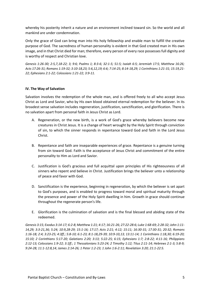whereby his posterity inherit a nature and an environment inclined toward sin. So the world and all mankind are under condemnation.

Only the grace of God can bring man into His holy fellowship and enable man to fulfill the creative purpose of God. The sacredness of human personality is evident in that God created man in His own image, and in that Christ died for man; therefore, every person of every race possesses full dignity and is worthy of respect and Christian love.

*Genesis 1:26-30; 2:5,7,18-22; 3; 9:6; Psalms 1; 8:3-6; 32:1-5; 51:5; Isaiah 6:5; Jeremiah 17:5; Matthew 16:26; Acts 17:26-31; Romans 1:19-32; 3:10-18,23; 5:6,12,19; 6:6; 7:14-25; 8:14-18,29; 1 Corinthians 1:21-31; 15:19,21- 22; Ephesians 2:1-22; Colossians 1:21-22; 3:9-11.* 

# **IV. The Way of Salvation**

Salvation involves the redemption of the whole man, and is offered freely to all who accept Jesus Christ as Lord and Savior, who by His own blood obtained eternal redemption for the believer. In its broadest sense salvation includes regeneration, justification, sanctification, and glorification. There is no salvation apart from personal faith in Jesus Christ as Lord.

- A. Regeneration, or the new birth, is a work of God's grace whereby believers become new creatures in Christ Jesus. It is a change of heart wrought by the Holy Spirit through conviction of sin, to which the sinner responds in repentance toward God and faith in the Lord Jesus Christ.
- B. Repentance and faith are inseparable experiences of grace. Repentance is a genuine turning from sin toward God. Faith is the acceptance of Jesus Christ and commitment of the entire personality to Him as Lord and Savior.
- C. Justification is God's gracious and full acquittal upon principles of His righteousness of all sinners who repent and believe in Christ. Justification brings the believer unto a relationship of peace and favor with God.
- D. Sanctification is the experience, beginning in regeneration, by which the believer is set apart to God's purposes, and is enabled to progress toward moral and spiritual maturity through the presence and power of the Holy Spirit dwelling in him. Growth in grace should continue throughout the regenerate person's life.
- E. Glorification is the culmination of salvation and is the final blessed and abiding state of the redeemed.

*Genesis 3:15; Exodus 3:14-17; 6:2-8; Matthew 1:21; 4:17; 16:21-26; 27:22-28:6; Luke 1:68-69; 2:28-32; John 1:11- 14,29; 3:3-21,36; 5:24; 10:9,28-29; 15:1-16; 17:17; Acts 2:21; 4:12; 15:11; 16:30-31; 17:30-31; 20:32; Romans 1:16-18; 2:4; 3:23-25; 4:3ff.; 5:8-10; 6:1-23; 8:1-18,29-39; 10:9-10,13; 13:11-14; 1 Corinthians 1:18,30; 6:19-20; 15:10; 2 Corinthians 5:17-20; Galatians 2:20; 3:13; 5:22-25; 6:15; Ephesians 1:7; 2:8-22; 4:11-16; Philippians 2:12-13; Colossians 1:9-22; 3:1ff.; 1 Thessalonians 5:23-24; 2 Timothy 1:12; Titus 2:11-14; Hebrews 2:1-3; 5:8-9; 9:24-28; 11:1-12:8,14; James 2:14-26; 1 Peter 1:2-23; 1 John 1:6-2:11; Revelation 3:20; 21:1-22:5.*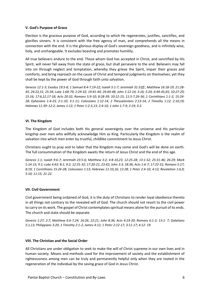# **V. God's Purpose of Grace**

Election is the gracious purpose of God, according to which He regenerates, justifies, sanctifies, and glorifies sinners. It is consistent with the free agency of man, and comprehends all the means in connection with the end. It is the glorious display of God's sovereign goodness, and is infinitely wise, holy, and unchangeable. It excludes boasting and promotes humility.

All true believers endure to the end. Those whom God has accepted in Christ, and sanctified by His Spirit, will never fall away from the state of grace, but shall persevere to the end. Believers may fall into sin through neglect and temptation, whereby they grieve the Spirit, impair their graces and comforts, and bring reproach on the cause of Christ and temporal judgments on themselves; yet they shall be kept by the power of God through faith unto salvation.

*Genesis 12:1-3; Exodus 19:5-8; 1 Samuel 8:4-7,19-22; Isaiah 5:1-7; Jeremiah 31:31ff.; Matthew 16:18-19; 21:28- 45; 24:22,31; 25:34; Luke 1:68-79; 2:29-32; 19:41-44; 24:44-48; John 1:12-14; 3:16; 5:24; 6:44-45,65; 10:27-29; 15:16; 17:6,12,17-18; Acts 20:32; Romans 5:9-10; 8:28-39; 10:12-15; 11:5-7,26-36; 1 Corinthians 1:1-2; 15:24- 28; Ephesians 1:4-23; 2:1-10; 3:1-11; Colossians 1:12-14; 2 Thessalonians 2:13-14; 2 Timothy 1:12; 2:10,19; Hebrews 11:39–12:2; James 1:12; 1 Peter 1:2-5,13; 2:4-10; 1 John 1:7-9; 2:19; 3:2.* 

# **VI. The Kingdom**

The Kingdom of God includes both His general sovereignty over the universe and His particular kingship over men who willfully acknowledge Him as King. Particularly the Kingdom is the realm of salvation into which men enter by trustful, childlike commitment to Jesus Christ.

Christians ought to pray and to labor that the Kingdom may come and God's will be done on earth. The full consummation of the Kingdom awaits the return of Jesus Christ and the end of this age.

*Genesis 1:1; Isaiah 9:6-7; Jeremiah 23:5-6; Matthew 3:2; 4:8-10,23; 12:25-28; 13:1-52; 25:31-46; 26:29; Mark 1:14-15; 9:1; Luke 4:43; 8:1; 9:2; 12:31-32; 17:20-21; 23:42; John 3:3; 18:36; Acts 1:6-7; 17:22-31; Romans 5:17; 8:19; 1 Corinthians 15:24-28; Colossians 1:13; Hebrews 11:10,16; 12:28; 1 Peter 2:4-10; 4:13; Revelation 1:6,9; 5:10; 11:15; 21-22.* 

## **VII. Civil Government**

Civil government being ordained of God, it is the duty of Christians to render loyal obedience thereto in all things not contrary to the revealed will of God. The church should not resort to the civil power to carry on its work. The gospel of Christ contemplates spiritual means alone for the pursuit of its ends. The church and state should be separate.

*Genesis 1:27; 2:7; Matthew 6:6-7,24; 16:26; 22:21; John 8:36; Acts 4:19-20; Romans 6:1-2; 13:1- 7; Galatians 5:1,13; Philippians 3:20; 1 Timothy 2:1-2; James 4:12; 1 Peter 2:12-17; 3:11-17; 4:12- 19.* 

## **VIII. The Christian and the Social Order**

All Christians are under obligation to seek to make the will of Christ supreme in our own lives and in human society. Means and methods used for the improvement of society and the establishment of righteousness among men can be truly and permanently helpful only when they are rooted in the regeneration of the individual by the saving grace of God in Jesus Christ.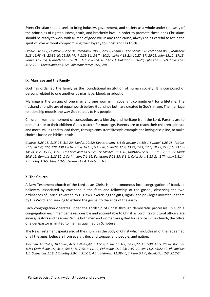Every Christian should seek to bring industry, government, and society as a whole under the sway of the principles of righteousness, truth, and brotherly love. In order to promote these ends Christians should be ready to work with all men of good will in any good cause, always being careful to act in the spirit of love without compromising their loyalty to Christ and His truth.

*Exodus 20:3-17; Leviticus 6:2-5; Deuteronomy 10:12; 27:17; Psalm 101:5; Micah 6:8; Zechariah 8:16; Matthew 5:13-16,43-48; 22:36-40; 25:35; Mark 1:29-34; 2:3ff.; 10:21; Luke 4:18-21; 10:27- 37; 20:25; John 15:12; 17:15; Romans 12–14; 1Corinthians 5:9-10; 6:1-7; 7:20-24; 10:23-11:1; Galatians 3:26-28; Ephesians 6:5-9; Colossians 3:12-17; 1 Thessalonians 3:12; Philemon; James 1:27; 2:8.* 

## **IX. Marriage and the Family**

God has ordained the family as the foundational institution of human society. It is composed of persons related to one another by marriage, blood, or adoption.

Marriage is the uniting of one man and one woman in covenant commitment for a lifetime. The husband and wife are of equal worth before God, since both are created in God's image. The marriage relationship models the way God relates to His people.

Children, from the moment of conception, are a blessing and heritage from the Lord. Parents are to demonstrate to their children God's pattern for marriage. Parents are to teach their children spiritual and moral values and to lead them, through consistent lifestyle example and loving discipline, to make choices based on biblical truth.

*Genesis 1:26-28; 2:15-25; 3:1-20; Exodus 20:12; Deuteronomy 6:4-9; Joshua 24:15; 1 Samuel 1:26-28; Psalms 51:5; 78:1-8; 127; 128; 139:13-16; Proverbs 1:8; 5:15-20; 6:20-22; 12:4; 13:24; 14:1; 17:6; 18:22; 22:6,15; 23:13- 14; 24:3; 29:15,17; 31:10-31; Ecclesiastes 4:9-12; 9:9; Malachi 2:14-16; Matthew 5:31-32; 18:2-5; 19:3-9; Mark 10:6-12; Romans 1:18-32; 1 Corinthians 7:1-16; Ephesians 5:21-33; 6:1-4; Colossians 3:18-21; 1 Timothy 5:8,14; 2 Timothy 1:3-5; Titus 2:3-5; Hebrews 13:4; 1 Peter 3:1-7.* 

# **X. The Church**

A New Testament church of the Lord Jesus Christ is an autonomous local congregation of baptized believers, associated by covenant in the faith and fellowship of the gospel; observing the two ordinances of Christ, governed by His laws, exercising the gifts, rights, and privileges invested in them by His Word, and seeking to extend the gospel to the ends of the earth.

Each congregation operates under the Lordship of Christ through democratic processes. In such a congregation each member is responsible and accountable to Christ as Lord. Its scriptural officers are elders/pastors and deacons. While both men and women are gifted for service in the church, the office of elder/pastor is limited to men as qualified by Scripture.

The New Testament speaks also of the church as the Body of Christ which includes all of the redeemed of all the ages, believers from every tribe, and tongue, and people, and nation.

*Matthew 16:15-19; 18:15-20; Acts 2:41-42,47; 5:11-14; 6:3-6; 13:1-3; 14:23,27; 15:1-30; 16:5; 20:28; Romans 1:7; 1 Corinthians 1:2; 3:16; 5:4-5; 7:17; 9:13-14; 12; Ephesians 1:22-23; 2:19- 22; 3:8-11,21; 5:22-32; Philippians 1:1; Colossians 1:18; 1 Timothy 2:9-14; 3:1-15; 4:14; Hebrews 11:39-40; 1 Peter 5:1-4; Revelation 2-3; 21:2-3.*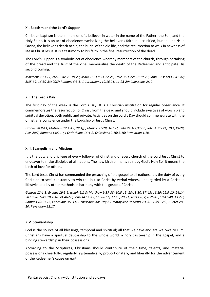## **XI. Baptism and the Lord's Supper**

Christian baptism is the immersion of a believer in water in the name of the Father, the Son, and the Holy Spirit. It is an act of obedience symbolizing the believer's faith in a crucified, buried, and risen Savior, the believer's death to sin, the burial of the old life, and the resurrection to walk in newness of life in Christ Jesus. It is a testimony to his faith in the final resurrection of the dead.

The Lord's Supper is a symbolic act of obedience whereby members of the church, through partaking of the bread and the fruit of the vine, memorialize the death of the Redeemer and anticipate His second coming.

*Matthew 3:13-17; 26:26-30; 28:19-20; Mark 1:9-11; 14:22-26; Luke 3:21-22; 22:19-20; John 3:23; Acts 2:41-42; 8:35-39; 16:30-33; 20:7; Romans 6:3-5; 1 Corinthians 10:16,21; 11:23-29; Colossians 2:12.* 

#### **XII. The Lord's Day**

The first day of the week is the Lord's Day. It is a Christian institution for regular observance. It commemorates the resurrection of Christ from the dead and should include exercises of worship and spiritual devotion, both public and private. Activities on the Lord's Day should commensurate with the Christian's conscience under the Lordship of Jesus Christ.

*Exodus 20:8-11; Matthew 12:1-12; 28:1ff.; Mark 2:27-28; 16:1-7; Luke 24:1-3,33-36; John 4:21- 24; 20:1,19-28; Acts 20:7; Romans 14:5-10; I Corinthians 16:1-2; Colossians 2:16; 3:16; Revelation 1:10.* 

#### **XIII. Evangelism and Missions**

It is the duty and privilege of every follower of Christ and of every church of the Lord Jesus Christ to endeavor to make disciples of all nations. The new birth of man's spirit by God's Holy Spirit means the birth of love for others.

The Lord Jesus Christ has commanded the preaching of the gospel to all nations. It is the duty of every Christian to seek constantly to win the lost to Christ by verbal witness undergirded by a Christian lifestyle, and by other methods in harmony with the gospel of Christ.

*Genesis 12:1-3; Exodus 19:5-6; Isaiah 6:1-8; Matthew 9:37-38; 10:5-15; 13:18-30, 37-43; 16:19; 22:9-10; 24:14; 28:18-20; Luke 10:1-18; 24:46-53; John 14:11-12; 15:7-8,16; 17:15; 20:21; Acts 1:8; 2; 8:26-40; 10:42-48; 13:2-3; Romans 10:13-15; Ephesians 3:1-11; 1 Thessalonians 1:8; 2 Timothy 4:5; Hebrews 2:1-3; 11:39-12:2; 1 Peter 2:4- 10; Revelation 22:17.* 

## **XIV. Stewardship**

God is the source of all blessings, temporal and spiritual; all that we have and are we owe to Him. Christians have a spiritual debtorship to the whole world, a holy trusteeship in the gospel, and a binding stewardship in their possessions.

According to the Scriptures, Christians should contribute of their time, talents, and material possessions cheerfully, regularly, systematically, proportionately, and liberally for the advancement of the Redeemer's cause on earth.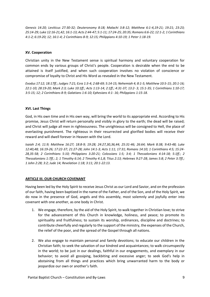*Genesis 14:20; Leviticus 27:30-32; Deuteronomy 8:18; Malachi 3:8-12; Matthew 6:1-4,19-21; 19:21; 23:23; 25:14-29; Luke 12:16-21,42; 16:1-13; Acts 2:44-47; 5:1-11; 17:24-25; 20:35; Romans 6:6-22; 12:1-2; 1 Corinthians 4:1-2; 6:19-20; 12; 16:1-4; 2 Corinthians 8-9; 12:15; Philippians 4:10-19; 1 Peter 1:18-19.* 

# **XV. Cooperation**

Christian unity in the New Testament sense is spiritual harmony and voluntary cooperation for common ends by various groups of Christ's people. Cooperation is desirable when the end to be attained is itself justified, and when such cooperation involves no violation of conscience or compromise of loyalty to Christ and His Word as revealed in the New Testament.

*Exodus 17:12; 18:17ff.; Judges 7:21; Ezra 1:3-4; 2:68-69; 5:14-15; Nehemiah 4; 8:1-5; Matthew 10:5-15; 20:1-16; 22:1-10; 28:19-20; Mark 2:3; Luke 10:1ff.; Acts 1:13-14; 2:1ff.; 4:31-37; 13:2- 3; 15:1-35; 1 Corinthians 1:10-17; 3:5-15; 12; 2 Corinthians 8-9; Galatians 1:6-10; Ephesians 4:1- 16; Philippians 1:15-18.* 

# **XVI. Last Things**

God, in His own time and in His own way, will bring the world to its appropriate end. According to His promise, Jesus Christ will return personally and visibly in glory to the earth; the dead will be raised; and Christ will judge all men in righteousness. The unrighteous will be consigned to Hell, the place of everlasting punishment. The righteous in their resurrected and glorified bodies will receive their reward and will dwell forever in Heaven with the Lord.

*Isaiah 2:4; 11:9; Matthew 16:27; 18:8-9; 19:28; 24:27,30,36,44; 25:31-46; 26:64; Mark 8:38; 9:43-48; Luke 12:40,48; 16:19-26; 17:22-37; 21:27-28; John 14:1-3; Acts 1:11; 17:31; Romans 14:10; 1 Corinthians 4:5; 15:24- 28,35-58; 2 Corinthians 5:10; Philippians 3:20-21; Colossians 1:5; 3:4; 1 Thessalonians 4:14-18; 5:1ff.; 2 Thessalonians 1:7ff.; 2; 1 Timothy 6:14; 2 Timothy 4:1,8; Titus 2:13; Hebrews 9:27-28; James 5:8; 2 Peter 3:7ff.; 1 John 2:28; 3:2; Jude 14; Revelation 1:18; 3:11; 20:1-22:13.* 

# **ARTICLE III. OUR CHURCH COVENANT**

Having been led by the Holy Spirit to receive Jesus Christ as our Lord and Savior, and on the profession of our faith, having been baptized in the name of the Father, and of the Son, and of the Holy Spirit, we do now in the presence of God, angels and this assembly, most solemnly and joyfully enter into covenant with one another, as one body in Christ.

- 1. We engage, therefore, by the aid of the Holy Spirit, to walk together in Christian love; to strive for the advancement of this Church in knowledge, holiness, and peace; to promote its spirituality and fruitfulness; to sustain its worship, ordinances, discipline and doctrines; to contribute cheerfully and regularly to the support of the ministry, the expenses of the Church, the relief of the poor, and the spread of the Gospel through all nations.
- 2. We also engage to maintain personal and family devotions; to educate our children in the Christian faith; to seek the salvation of our kindred and acquaintances; to walk circumspectly in the world; to be just in our dealings, faithful in our engagements, and exemplary in our behavior; to avoid all gossiping, backbiting and excessive anger; to seek God's help in abstaining from all things and practices which bring unwarranted harm to the body or jeopardize our own or another's faith.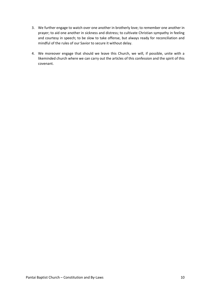- 3. We further engage to watch over one another in brotherly love; to remember one another in prayer; to aid one another in sickness and distress; to cultivate Christian sympathy in feeling and courtesy in speech; to be slow to take offense, but always ready for reconciliation and mindful of the rules of our Savior to secure it without delay.
- 4. We moreover engage that should we leave this Church, we will, if possible, unite with a likeminded church where we can carry out the articles of this confession and the spirit of this covenant.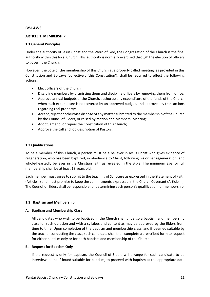## **BY-LAWS**

## **ARTICLE 1. MEMBERSHIP**

# **1.1 General Principles**

Under the authority of Jesus Christ and the Word of God, the Congregation of the Church is the final authority within this local Church. This authority is normally exercised through the election of officers to govern the Church.

However, the vote of the membership of this Church at a properly called meeting, as provided in this Constitution and By-Laws (collectively 'this Constitution'), shall be required to effect the following actions:

- Elect officers of the Church;
- Discipline members by dismissing them and discipline officers by removing them from office;
- Approve annual budgets of the Church, authorize any expenditure of the funds of the Church when such expenditure is not covered by an approved budget, and approve any transactions regarding real property;
- Accept, reject or otherwise dispose of any matter submitted to the membership of the Church by the Council of Elders, or raised by motion at a Members' Meeting;
- Adopt, amend, or repeal the Constitution of this Church;
- Approve the call and job description of Pastors.

# **1.2 Qualifications**

To be a member of this Church, a person must be a believer in Jesus Christ who gives evidence of regeneration, who has been baptized, in obedience to Christ, following his or her regeneration, and whole-heartedly believes in the Christian faith as revealed in the Bible. The minimum age for full membership shall be at least 18 years old.

Each member must agree to submit to the teaching of Scripture as expressed in the Statement of Faith (Article II) and must promise to keep the commitments expressed in the Church Covenant (Article III). The Council of Elders shall be responsible for determining each person's qualification for membership.

# **1.3 Baptism and Membership**

## **A. Baptism and Membership Class**

All candidates who wish to be baptized in the Church shall undergo a baptism and membership class for such duration and with a syllabus and content as may be approved by the Elders from time to time. Upon completion of the baptism and membership class, and if deemed suitable by the teacher conducting the class, such candidate shall then complete a prescribed form to request for either baptism only or for both baptism and membership of the Church.

## **B. Request for Baptism Only**

If the request is only for baptism, the Council of Elders will arrange for such candidate to be interviewed and if found suitable for baptism, to proceed with baptism at the appropriate date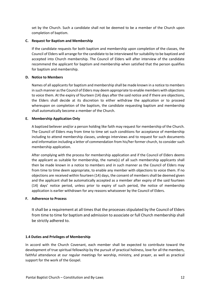set by the Church. Such a candidate shall not be deemed to be a member of the Church upon completion of baptism.

# **C. Request for Baptism and Membership**

If the candidate requests for both baptism and membership upon completion of the classes, the Council of Elders will arrange for the candidate to be interviewed for suitability to be baptized and accepted into Church membership. The Council of Elders will after interview of the candidate recommend the applicant for baptism and membership when satisfied that the person qualifies for baptism and membership.

## **D. Notice to Members**

Names of all applicants for baptism and membership shall be made known in a notice to members in such manner as the Council of Elders may deem appropriate to enable members with objections to voice them. At the expiry of fourteen (14) days after the said notice and if there are objections, the Elders shall decide at its discretion to either withdraw the application or to proceed whereupon on completion of the baptism, the candidate requesting baptism and membership shall automatically become a member of the Church.

# **E. Membership Application Only**

A baptized believer and/or a person holding like faith may request for membership of the Church. The Council of Elders may from time to time set such conditions for acceptance of membership including to attend membership classes, undergo interviews and to request for such documents and information including a letter of commendation from his/her former church, to consider such membership application.

After complying with the process for membership application and if the Council of Elders deems the applicant as suitable for membership, the name(s) of all such membership applicants shall then be made known in a notice to members and in such manner as the Council of Elders may from time to time deem appropriate, to enable any member with objections to voice them. If no objections are received within fourteen (14) days, the consent of members shall be deemed given and the applicant shall be automatically accepted as a member after expiry of the said fourteen (14) days' notice period, unless prior to expiry of such period, the notice of membership application is earlier withdrawn for any reasons whatsoever by the Council of Elders.

# **F. Adherence to Process**

It shall be a requirement at all times that the processes stipulated by the Council of Elders from time to time for baptism and admission to associate or full Church membership shall be strictly adhered to.

## **1.4 Duties and Privileges of Membership**

In accord with the Church Covenant, each member shall be expected to contribute toward the development of true spiritual fellowship by the pursuit of practical holiness, love for all the members, faithful attendance at our regular meetings for worship, ministry, and prayer, as well as practical support for the work of the Gospel.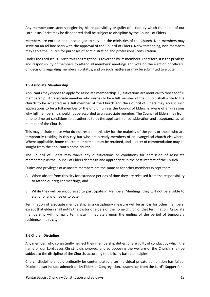Any member consistently neglecting his responsibility or guilty of action by which the name of our Lord Jesus Christ may be dishonored shall be subject to discipline by the Council of Elders.

Members are entitled and encouraged to serve in the ministries of the Church. Non-members may serve on an ad-hoc basis with the approval of the Council of Elders. Notwithstanding, non-members may serve the Church for purposes of administration and professional consultation.

Under the Lord Jesus Christ, this congregation is governed by its members. Therefore, it is the privilege and responsibility of members to attend all members' meetings and vote on the election of officers, on decisions regarding membership status, and on such matters as may be submitted to a vote.

# **1.5 Associate Membership**

Applicants may choose to apply for associate membership. Qualifications are identical to those for full membership. An associate member who wishes to be a full member of the Church shall write to the church to be accepted as a full member of the Church and the Council of Elders may accept such applications to be a full member of the Church unless the Council of Elders is aware of any reasons why full membership should not be accorded to an associate member. The Council of Elders may from time to time set conditions to be adhered to by the applicant, for consideration and acceptance as full member of the Church.

This may include those who do not reside in this city for the majority of the year, or those who are temporarily residing in this city but who are already members of an evangelical church elsewhere. Where applicable, home church membership may be retained, and a letter of commendation may be sought from the applicant's home church.

The Council of Elders may waive any qualifications or conditions for admission of associate membership as the Council of Elders deems fit and appropriate in the best interest of the Church.

Duties and privileges of associate members are the same as for other members except that:

- A. When absent from this city for extended periods of time they are released from the responsibility to attend our regular meetings; and
- B. While they will be encouraged to participate in Members' Meetings, they will not be eligible to stand for any office or to vote.

Termination of associate membership as a disciplinary measure will be as it is for other members, except that elders shall notify the pastor or elders of the home church of that termination. Associate membership will normally terminate immediately upon the ending of the period of temporary residence in this city.

## **1.6 Church Discipline**

Any member, who consistently neglect their membership duties, or are guilty of conduct by which the name of our Lord Jesus Christ is dishonored, and so opposing the welfare of the Church, shall be subject to the discipline of the Church, according to biblically based principles.

Church discipline should ordinarily be contemplated after individual private admonition has failed. Discipline can include admonition by Elders or Congregation, suspension from the Lord's Supper for a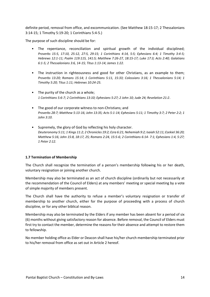definite period, removal from office, and excommunication. (See Matthew 18:15-17; 2 Thessalonians 3:14-15; 1 Timothy 5:19-20; 1 Corinthians 5:4-5.)

The purpose of such discipline should be for:

- The repentance, reconciliation and spiritual growth of the individual disciplined; *Proverbs 15:5, 17:10, 25:12, 27:5, 29:15; 1 Corinthians 4:14, 5:5; Ephesians 6:4; 1 Timothy 3:4-5; Hebrews 12:1-11; Psalm 119:115, 141:5; Matthew 7:26-27, 18:15-17; Luke 17:3; Acts 2:40; Galatians 6:1-5; 2 Thessalonians 3:6, 14-15; Titus 1:13-14; James 1:22.*
- The instruction in righteousness and good for other Christians, as an example to them; *Proverbs 13:20; Romans 15:14; 1 Corinthians 5:11, 15:33; Colossians 3:16; 1 Thessalonians 5:14; 1 Timothy 5:20; Titus 1:11; Hebrews 10:24-25.*
- The purity of the church as a whole; *1 Corinthians 5:6-7; 2 Corinthians 13:10; Ephesians 5:27; 2 John 10; Jude 24; Revelation 21:2*.
- The good of our corporate witness to non-Christians; and *Proverbs 28:7; Matthew 5:13-16; John 13:35; Acts 5:1-14; Ephesians 5:11; 1 Timothy 3:7; 2 Peter 2:2; 1 John 3:10.*
- Supremely, the glory of God by reflecting his holy character. *Deuteronomy 5:11; 1 Kings 11:2; 2 Chronicles 19:2; Ezra 6:21; Nehemiah 9:2; Isaiah 52:11; Ezekiel 36:20; Matthew 5:16; John 15:8, 18:17, 25; Romans 2:24, 15:5-6; 2 Corinthians 6:14- 7:1; Ephesians 1:4, 5:27; 1 Peter 2:12.*

## **1.7 Termination of Membership**

The Church shall recognize the termination of a person's membership following his or her death, voluntary resignation or joining another church.

Membership may also be terminated as an act of church discipline (ordinarily but not necessarily at the recommendation of the Council of Elders) at any members' meeting or special meeting by a vote of simple majority of members present.

The Church shall have the authority to refuse a member's voluntary resignation or transfer of membership to another church, either for the purpose of proceeding with a process of church discipline, or for any other biblical reason.

Membership may also be terminated by the Elders if any member has been absent for a period of six (6) months without giving satisfactory reason for absence. Before removal, the Council of Elders must first try to contact the member, determine the reasons for their absence and attempt to restore them to fellowship.

No member holding office as Elder or Deacon shall have his/her church membership terminated prior to his/her removal from office as set out in Article 2 hereof.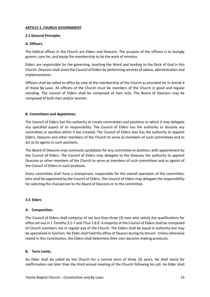# **ARTICLE 2. CHURCH GOVERNMENT**

# **2.1 General Principles**

# **A. Officers.**

The biblical offices in the Church are Elders and Deacons. The purpose of the officers is to lovingly govern, care for, and equip the membership to do the work of ministry.

Elders are responsible for the governing, teaching the Word and tending to the flock of God in this Church. Deacons shall assist the Council of Elders by performing services of advice, administration and implementation.

Officers shall be called to office by vote of the membership of the Church as provided for in Article 4 of these By-Laws. All officers of the Church must be members of the Church in good and regular standing. The Council of Elders shall be composed of men only. The Board of Deacons may be composed of both men and/or women.

# **B. Committees and Appointees.**

The Council of Elders has the authority to create committees and positions to which it may delegate any specified aspect of its responsibility. The Council of Elders has the authority to dissolve any committee or position which it has created. The Council of Elders also has the authority to appoint Elders, Deacons and other members of the Church to serve as members of such committees and to act as its agents in such positions.

The Board of Deacons may nominate candidates for any committee or position, with appointment by the Council of Elders. The Council of Elders may delegate to the Deacons the authority to appoint Deacons or other members of the Church to serve as members of such committees and as agents of the Council of Elders in such positions.

Every committee shall have a chairperson, responsible for the overall operation of the committee, who shall be appointed by the Council of Elders. The Council of Elders may delegate the responsibility for selecting the chairperson to the Board of Deacons or to the committee.

## **2.2 Elders**

# **A. Composition.**

The Council of Elders shall comprise of not less than three (3) men who satisfy the qualifications for office set out in 1 Timothy 3:1-7 and Titus 1:6-9. A majority of the Council of Elders shall be composed of Church members not in regular pay of the Church. The Elders shall be equal in authority but may be specialized in function. No Elder shall hold the office of Deacon during his tenure. Unless otherwise stated in this Constitution, the Elders shall determine their own decision-making protocols.

## **B. Term Limits.**

An Elder shall be called by the Church for a normal term of three (3) years. He shall stand for reaffirmation not later than the third annual meeting of the Church following his call. An Elder shall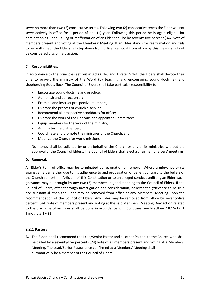serve no more than two (2) consecutive terms. Following two (2) consecutive terms the Elder will not serve actively in office for a period of one (1) year. Following this period he is again eligible for nomination as Elder. Calling or reaffirmation of an Elder shall be by seventy-five percent (3/4) vote of members present and voting at the Members' Meeting. If an Elder stands for reaffirmation and fails to be reaffirmed, the Elder shall step down from office. Removal from office by this means shall not be considered disciplinary action.

# **C. Responsibilities.**

In accordance to the principles set out in Acts 6:1-6 and 1 Peter 5:1-4, the Elders shall devote their time to prayer, the ministry of the Word (by teaching and encouraging sound doctrine), and shepherding God's flock. The Council of Elders shall take particular responsibility to:

- Encourage sound doctrine and practice;
- Admonish and correct error;
- Examine and instruct prospective members;
- Oversee the process of church discipline;
- Recommend all prospective candidates for office;
- Oversee the work of the Deacons and appointed Committees;
- Equip members for the work of the ministry;
- Administer the ordinances;
- Coordinate and promote the ministries of the Church; and
- Mobilize the Church for world missions.

No money shall be solicited by or on behalf of the Church or any of its ministries without the approval of the Council of Elders. The Council of Elders shall elect a chairman of Elders' meetings.

## **D. Removal.**

An Elder's term of office may be terminated by resignation or removal. Where a grievance exists against an Elder, either due to his adherence to and propagation of beliefs contrary to the beliefs of the Church set forth in Article II of this Constitution or to an alleged conduct unfitting an Elder, such grievance may be brought by any two (2) members in good standing to the Council of Elders. If the Council of Elders, after thorough investigation and consideration, believes the grievance to be true and substantial, then the Elder may be removed from office at any Members' Meeting upon the recommendation of the Council of Elders. Any Elder may be removed from office by seventy-five percent (3/4) vote of members present and voting at the said Members' Meeting. Any action related to the discipline of an Elder shall be done in accordance with Scripture (see Matthew 18:15-17; 1 Timothy 5:17-21).

## **2.2.1 Pastors**

**A.** The Elders shall recommend the Lead/Senior Pastor and all other Pastors to the Church who shall be called by a seventy-five percent (3/4) vote of all members present and voting at a Members' Meeting. The Lead/Senior Pastor once confirmed at a Members' Meeting shall automatically be a member of the Council of Elders.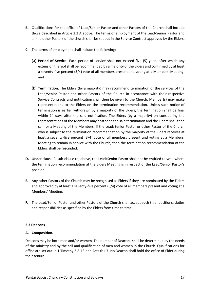- **B.** Qualifications for the office of Lead/Senior Pastor and other Pastors of the Church shall include those described in Article 2.2 A above. The terms of employment of the Lead/Senior Pastor and all the other Pastors of the church shall be set out in the Service Contract approved by the Elders.
- **C.** The terms of employment shall include the following:
	- (a) **Period of Service.** Each period of service shall not exceed five (5) years after which any extension thereof shall be recommended by a majority of the Elders and confirmed by at least a seventy-five percent (3/4) vote of all members present and voting at a Members' Meeting; and
	- (b) **Termination**. The Elders (by a majority) may recommend termination of the services of the Lead/Senior Pastor and other Pastors of the Church in accordance with their respective Service Contracts and notification shall then be given to the Church. Member(s) may make representations to the Elders on the termination recommendation. Unless such notice of termination is earlier withdrawn by a majority of the Elders, the termination shall be final within 14 days after the said notification. The Elders (by a majority) on considering the representations of the Members may postpone the said termination and the Elders shall then call for a Meeting of the Members. If the Lead/Senior Pastor or other Pastor of the Church who is subject to the termination recommendation by the majority of the Elders receives at least a seventy-five percent (3/4) vote of all members present and voting at a Members' Meeting to remain in service with the Church, then the termination recommendation of the Elders shall be rescinded.
- **D.** Under clause C, sub-clause (b) above, the Lead/Senior Pastor shall not be entitled to vote where the termination recommendation at the Elders Meeting is in respect of the Lead/Senior Pastor's position.
- **E.** Any other Pastors of the Church may be recognised as Elders if they are nominated by the Elders and approved by at least a seventy-five percent (3/4) vote of all members present and voting at a Members' Meeting.
- **F.** The Lead/Senior Pastor and other Pastors of the Church shall accept such title, positions, duties and responsibilities as specified by the Elders from time to time.

# **2.3 Deacons**

# **A. Composition.**

Deacons may be both men and/or women. The number of Deacons shall be determined by the needs of the ministry and by the call and qualification of men and women in the Church. Qualifications for office are set out in 1 Timothy 3:8-13 and Acts 6:1-7. No Deacon shall hold the office of Elder during their tenure.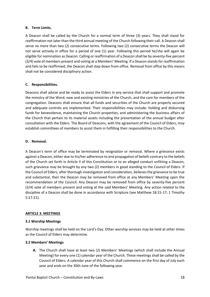# **B. Term Limits.**

A Deacon shall be called by the Church for a normal term of three (3) years. They shall stand for reaffirmation not later than the third annual meeting of the Church following their call. A Deacon shall serve no more than two (2) consecutive terms. Following two (2) consecutive terms the Deacon will not serve actively in office for a period of one (1) year. Following this period he/she will again be eligible for nomination as Deacon. Calling or reaffirmation of a Deacon shall be by seventy-five percent (3/4) vote of members present and voting at a Members' Meeting. If a Deacon stands for reaffirmation and fails to be reaffirmed, the Deacon shall step down from office. Removal from office by this means shall not be considered disciplinary action.

# **C. Responsibilities.**

Deacons shall advise and be ready to assist the Elders in any service that shall support and promote the ministry of the Word, new and existing ministries of the Church, and the care for members of the congregation. Deacons shall ensure that all funds and securities of the Church are properly secured and adequate controls are implemented. Their responsibilities may include: holding and disbursing funds for benevolence, maintaining the Church properties, and administering the business affairs of the Church that pertain to its material assets including the presentation of the annual budget after consultation with the Elders. The Board of Deacons, with the agreement of the Council of Elders, may establish committees of members to assist them in fulfilling their responsibilities to the Church.

# **D. Removal.**

A Deacon's term of office may be terminated by resignation or removal. Where a grievance exists against a Deacon, either due to his/her adherence to and propagation of beliefs contrary to the beliefs of the Church set forth in Article II of this Constitution or to an alleged conduct unfitting a Deacon, such grievance may be brought by any two (2) members in good standing to the Council of Elders. If the Council of Elders, after thorough investigation and consideration, believes the grievance to be true and substantial, then the Deacon may be removed from office at any Members' Meeting upon the recommendation of the Council. Any Deacon may be removed from office by seventy-five percent (3/4) vote of members present and voting at the said Members' Meeting. Any action related to the discipline of a Deacon shall be done in accordance with Scripture (see Matthew 18:15-17; 1 Timothy 5:17-21).

## **ARTICLE 3. MEETINGS**

## **3.1 Worship Meetings**

Worship meetings shall be held on the Lord's Day. Other worship services may be held at other times as the Council of Elders may determine.

# **3.2 Members' Meetings**

**A.** The Church shall have at least two (2) Members' Meetings (which shall include the Annual Meeting) for every one (1) calendar year of the Church. These meetings shall be called by the Council of Elders. A calendar year of this Church shall commence on the first day of July each year and ends on the 30th June of the following year.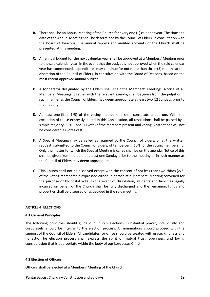- **B.** There shall be an Annual Meeting of the Church for every one (1) calendar year. The time and date of the Annual Meeting shall be determined by the Council of Elders, in consultation with the Board of Deacons. The annual reports and audited accounts of the Church shall be presented at this meeting.
- **C.** An annual budget for the next calendar year shall be approved at a Members' Meeting prior to the said calendar year. In the event that the budget is not approved when the said calendar year has commenced, expenditures may continue for not more than three (3) months at the discretion of the Council of Elders, in consultation with the Board of Deacons, based on the most recent approved annual budget.
- **D.** A Moderator designated by the Elders shall chair the Members' Meetings. Notice of all Members' Meetings together with the relevant agenda, shall be given from the pulpit or in such manner as the Council of Elders may deem appropriate at least two (2) Sundays prior to the meeting.
- **E.** At least one-fifth (1/5) of the voting membership shall constitute a quorum. With the exception of those expressly stated in this Constitution, all resolutions shall be passed by a simple majority (50% + one (1) vote) of the members present and voting. Abstentions will not be considered as votes cast.
- **F.** A Special Meeting may be called as required by the Council of Elders, or at the written request, submitted to the Council of Elders, of ten percent (10%) of the voting membership. Only the matter for which the Special Meeting is called shall be on the agenda. Notice of this shall be given from the pulpit at least one Sunday prior to the meeting or in such manner as the Council of Elders may deem appropriate.
- **G.** This Church shall not be dissolved except with the consent of not less than two-thirds (2/3) of the voting membership expressed either, in person at a Members' Meeting convened for the purpose or by postal vote. In the event of dissolution, all debts and liabilities legally incurred on behalf of the Church shall be fully discharged and the remaining funds and properties shall be disposed of as decided in the said meeting.

# **ARTICLE 4. ELECTIONS**

## **4.1 General Principles**

The following principles should guide our Church elections. Substantial prayer, individually and corporately, should be integral to the election process. All nominations should proceed with the support of the Council of Elders. All candidates for office should be treated with grace, kindness and honesty. The election process shall express the spirit of mutual trust, openness, and loving consideration that is appropriate within the body of our Lord Jesus Christ.

## **4.2 Election of Officers**

Officers shall be elected at a Members' Meeting of the Church.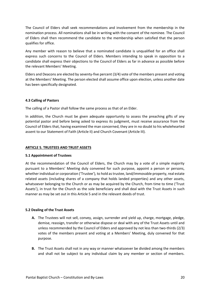The Council of Elders shall seek recommendations and involvement from the membership in the nomination process. All nominations shall be in writing with the consent of the nominee. The Council of Elders shall then recommend the candidate to the membership when satisfied that the person qualifies for office.

Any member with reason to believe that a nominated candidate is unqualified for an office shall express such concerns to the Council of Elders. Members intending to speak in opposition to a candidate shall express their objections to the Council of Elders as far in advance as possible before the relevant Members' Meeting.

Elders and Deacons are elected by seventy-five percent (3/4) vote of the members present and voting at the Members' Meeting. The person elected shall assume office upon election, unless another date has been specifically designated.

## **4.3 Calling of Pastors**

The calling of a Pastor shall follow the same process as that of an Elder.

In addition, the Church must be given adequate opportunity to assess the preaching gifts of any potential pastor and before being asked to express its judgment, must receive assurance from the Council of Elders that, having examined the man concerned, they are in no doubt to his wholehearted assent to our Statement of Faith (Article II) and Church Covenant (Article III).

#### **ARTICLE 5. TRUSTEES AND TRUST ASSETS**

#### **5.1 Appointment of Trustees**

At the recommendation of the Council of Elders, the Church may by a vote of a simple majority pursuant to a Members' Meeting duly convened for such purpose, appoint a person or persons, whether individual or corporation ('Trustee'), to hold as trustee, land/immovable property, real estate related assets (including shares of a company that holds landed properties) and any other assets, whatsoever belonging to the Church or as may be acquired by the Church, from time to time ('Trust Assets'), in trust for the Church as the sole beneficiary and shall deal with the Trust Assets in such manner as may be set out in this Article 5 and in the relevant deeds of trust.

## **5.2 Dealing of the Trust Assets**

- **A.** The Trustees will not sell, convey, assign, surrender and yield up, charge, mortgage, pledge, demise, reassign, transfer or otherwise dispose or deal with any of the Trust Assets until and unless recommended by the Council of Elders and approved by not less than two-thirds (2/3) votes of the members present and voting at a Members' Meeting, duly convened for that purpose.
- **B.** The Trust Assets shall not in any way or manner whatsoever be divided among the members and shall not be subject to any individual claim by any member or section of members.